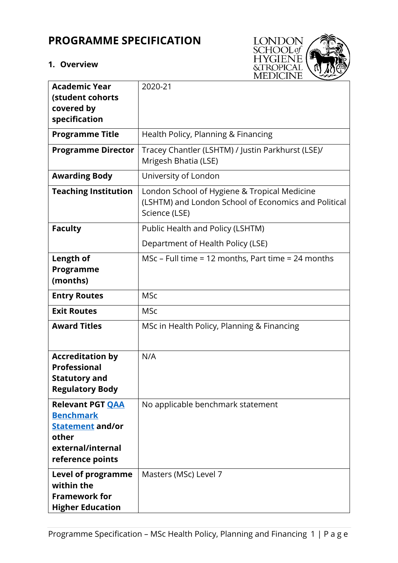# **PROGRAMME SPECIFICATION**

# **1. Overview**



| <b>Academic Year</b><br>(student cohorts                                                                                 | 2020-21                                                                                                               |
|--------------------------------------------------------------------------------------------------------------------------|-----------------------------------------------------------------------------------------------------------------------|
| covered by                                                                                                               |                                                                                                                       |
| specification                                                                                                            |                                                                                                                       |
| <b>Programme Title</b>                                                                                                   | Health Policy, Planning & Financing                                                                                   |
| <b>Programme Director</b>                                                                                                | Tracey Chantler (LSHTM) / Justin Parkhurst (LSE)/<br>Mrigesh Bhatia (LSE)                                             |
| <b>Awarding Body</b>                                                                                                     | University of London                                                                                                  |
| <b>Teaching Institution</b>                                                                                              | London School of Hygiene & Tropical Medicine<br>(LSHTM) and London School of Economics and Political<br>Science (LSE) |
| <b>Faculty</b>                                                                                                           | Public Health and Policy (LSHTM)                                                                                      |
|                                                                                                                          | Department of Health Policy (LSE)                                                                                     |
| Length of                                                                                                                | MSc – Full time = 12 months, Part time = 24 months                                                                    |
| Programme<br>(months)                                                                                                    |                                                                                                                       |
| <b>Entry Routes</b>                                                                                                      | <b>MSc</b>                                                                                                            |
| <b>Exit Routes</b>                                                                                                       | <b>MSc</b>                                                                                                            |
| <b>Award Titles</b>                                                                                                      | MSc in Health Policy, Planning & Financing                                                                            |
| <b>Accreditation by</b><br><b>Professional</b><br>Statutory and<br><b>Regulatory Body</b>                                | N/A                                                                                                                   |
| <b>Relevant PGT QAA</b><br><b>Benchmark</b><br><b>Statement and/or</b><br>other<br>external/internal<br>reference points | No applicable benchmark statement                                                                                     |
| Level of programme<br>within the<br><b>Framework for</b><br><b>Higher Education</b>                                      | Masters (MSc) Level 7                                                                                                 |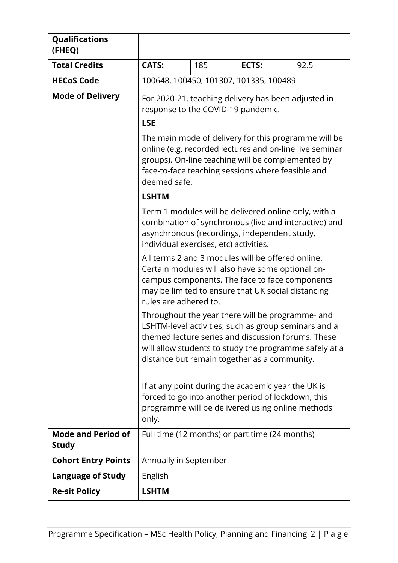| Qualifications<br>(FHEQ)                  |                                                                                                                                                                                                                                                                          |     |                                                |      |  |
|-------------------------------------------|--------------------------------------------------------------------------------------------------------------------------------------------------------------------------------------------------------------------------------------------------------------------------|-----|------------------------------------------------|------|--|
| <b>Total Credits</b>                      | <b>CATS:</b>                                                                                                                                                                                                                                                             | 185 | ECTS:                                          | 92.5 |  |
| <b>HECoS Code</b>                         |                                                                                                                                                                                                                                                                          |     | 100648, 100450, 101307, 101335, 100489         |      |  |
| <b>Mode of Delivery</b>                   | For 2020-21, teaching delivery has been adjusted in<br>response to the COVID-19 pandemic.<br><b>LSE</b>                                                                                                                                                                  |     |                                                |      |  |
|                                           | The main mode of delivery for this programme will be<br>online (e.g. recorded lectures and on-line live seminar<br>groups). On-line teaching will be complemented by<br>face-to-face teaching sessions where feasible and<br>deemed safe.                                |     |                                                |      |  |
|                                           | <b>LSHTM</b>                                                                                                                                                                                                                                                             |     |                                                |      |  |
|                                           | Term 1 modules will be delivered online only, with a<br>combination of synchronous (live and interactive) and<br>asynchronous (recordings, independent study,<br>individual exercises, etc) activities.                                                                  |     |                                                |      |  |
|                                           | All terms 2 and 3 modules will be offered online.<br>Certain modules will also have some optional on-<br>campus components. The face to face components<br>may be limited to ensure that UK social distancing<br>rules are adhered to.                                   |     |                                                |      |  |
|                                           | Throughout the year there will be programme- and<br>LSHTM-level activities, such as group seminars and a<br>themed lecture series and discussion forums. These<br>will allow students to study the programme safely at a<br>distance but remain together as a community. |     |                                                |      |  |
|                                           | If at any point during the academic year the UK is<br>forced to go into another period of lockdown, this<br>programme will be delivered using online methods<br>only.                                                                                                    |     |                                                |      |  |
| <b>Mode and Period of</b><br><b>Study</b> |                                                                                                                                                                                                                                                                          |     | Full time (12 months) or part time (24 months) |      |  |
| <b>Cohort Entry Points</b>                | Annually in September                                                                                                                                                                                                                                                    |     |                                                |      |  |
| <b>Language of Study</b>                  | English                                                                                                                                                                                                                                                                  |     |                                                |      |  |
| <b>Re-sit Policy</b>                      | <b>LSHTM</b>                                                                                                                                                                                                                                                             |     |                                                |      |  |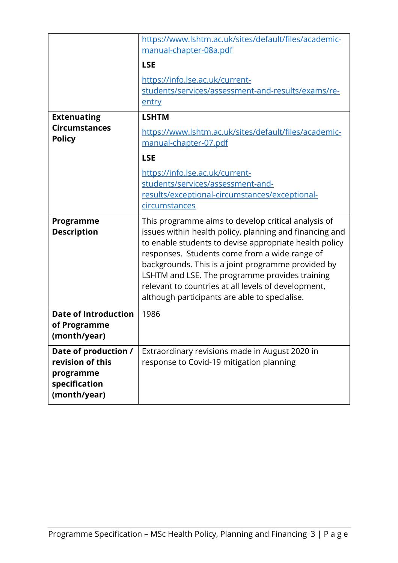|                                                                                        | https://www.lshtm.ac.uk/sites/default/files/academic-<br>manual-chapter-08a.pdf<br><b>LSE</b><br>https://info.lse.ac.uk/current-<br>students/services/assessment-and-results/exams/re-<br>entry                                                                                                                                                                                                                                           |
|----------------------------------------------------------------------------------------|-------------------------------------------------------------------------------------------------------------------------------------------------------------------------------------------------------------------------------------------------------------------------------------------------------------------------------------------------------------------------------------------------------------------------------------------|
| <b>Extenuating</b><br><b>Circumstances</b><br><b>Policy</b>                            | <b>LSHTM</b><br>https://www.lshtm.ac.uk/sites/default/files/academic-<br>manual-chapter-07.pdf<br><b>LSE</b><br>https://info.lse.ac.uk/current-<br>students/services/assessment-and-<br>results/exceptional-circumstances/exceptional-<br>circumstances                                                                                                                                                                                   |
| Programme<br><b>Description</b>                                                        | This programme aims to develop critical analysis of<br>issues within health policy, planning and financing and<br>to enable students to devise appropriate health policy<br>responses. Students come from a wide range of<br>backgrounds. This is a joint programme provided by<br>LSHTM and LSE. The programme provides training<br>relevant to countries at all levels of development,<br>although participants are able to specialise. |
| <b>Date of Introduction</b><br>of Programme<br>(month/year)                            | 1986                                                                                                                                                                                                                                                                                                                                                                                                                                      |
| Date of production /<br>revision of this<br>programme<br>specification<br>(month/year) | Extraordinary revisions made in August 2020 in<br>response to Covid-19 mitigation planning                                                                                                                                                                                                                                                                                                                                                |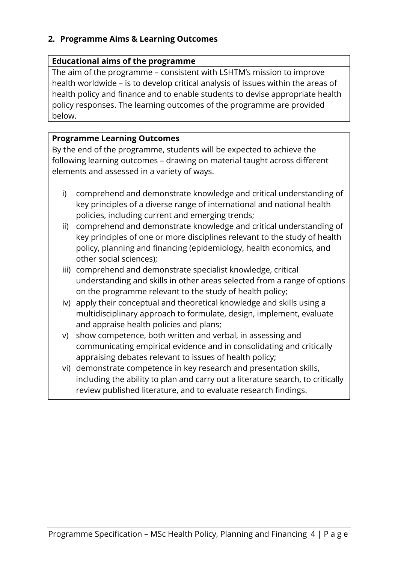## **2. Programme Aims & Learning Outcomes**

## **Educational aims of the programme**

The aim of the programme – consistent with LSHTM's mission to improve health worldwide – is to develop critical analysis of issues within the areas of health policy and finance and to enable students to devise appropriate health policy responses. The learning outcomes of the programme are provided below.

## **Programme Learning Outcomes**

By the end of the programme, students will be expected to achieve the following learning outcomes – drawing on material taught across different elements and assessed in a variety of ways.

- i) comprehend and demonstrate knowledge and critical understanding of key principles of a diverse range of international and national health policies, including current and emerging trends;
- ii) comprehend and demonstrate knowledge and critical understanding of key principles of one or more disciplines relevant to the study of health policy, planning and financing (epidemiology, health economics, and other social sciences);
- iii) comprehend and demonstrate specialist knowledge, critical understanding and skills in other areas selected from a range of options on the programme relevant to the study of health policy;
- iv) apply their conceptual and theoretical knowledge and skills using a multidisciplinary approach to formulate, design, implement, evaluate and appraise health policies and plans;
- v) show competence, both written and verbal, in assessing and communicating empirical evidence and in consolidating and critically appraising debates relevant to issues of health policy;
- vi) demonstrate competence in key research and presentation skills, including the ability to plan and carry out a literature search, to critically review published literature, and to evaluate research findings.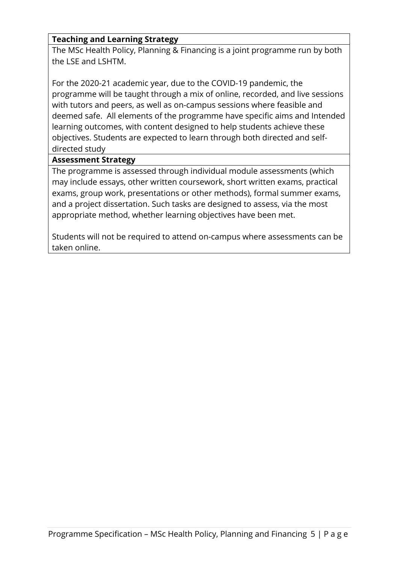# **Teaching and Learning Strategy**

The MSc Health Policy, Planning & Financing is a joint programme run by both the LSE and LSHTM.

For the 2020-21 academic year, due to the COVID-19 pandemic, the programme will be taught through a mix of online, recorded, and live sessions with tutors and peers, as well as on-campus sessions where feasible and deemed safe. All elements of the programme have specific aims and Intended learning outcomes, with content designed to help students achieve these objectives. Students are expected to learn through both directed and selfdirected study

## **Assessment Strategy**

The programme is assessed through individual module assessments (which may include essays, other written coursework, short written exams, practical exams, group work, presentations or other methods), formal summer exams, and a project dissertation. Such tasks are designed to assess, via the most appropriate method, whether learning objectives have been met.

Students will not be required to attend on-campus where assessments can be taken online.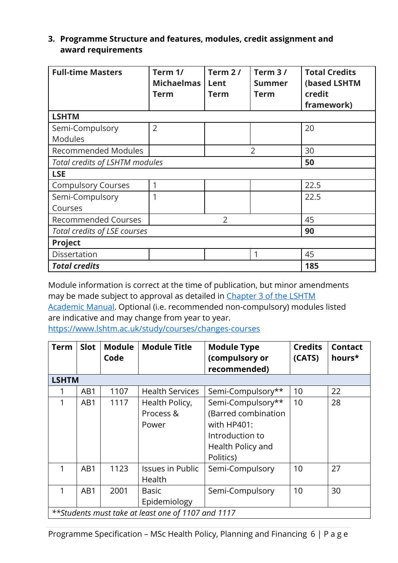## **3. Programme Structure and features, modules, credit assignment and award requirements**

| <b>Full-time Masters</b>                           | Term 1/<br><b>Michaelmas</b><br><b>Term</b> | Term $2/$<br>Lent<br><b>Term</b> | Term 3/<br><b>Summer</b><br>Term | <b>Total Credits</b><br>(based LSHTM<br>credit<br>framework) |  |  |  |
|----------------------------------------------------|---------------------------------------------|----------------------------------|----------------------------------|--------------------------------------------------------------|--|--|--|
| <b>LSHTM</b>                                       |                                             |                                  |                                  |                                                              |  |  |  |
| Semi-Compulsory                                    | $\overline{2}$                              |                                  |                                  | 20                                                           |  |  |  |
| <b>Modules</b>                                     |                                             |                                  |                                  |                                                              |  |  |  |
| <b>Recommended Modules</b><br>$\overline{2}$<br>30 |                                             |                                  |                                  |                                                              |  |  |  |
| Total credits of LSHTM modules<br>50               |                                             |                                  |                                  |                                                              |  |  |  |
| <b>LSE</b>                                         |                                             |                                  |                                  |                                                              |  |  |  |
| <b>Compulsory Courses</b>                          | 1                                           |                                  |                                  | 22.5                                                         |  |  |  |
| Semi-Compulsory                                    | 1                                           |                                  |                                  | 22.5                                                         |  |  |  |
| Courses                                            |                                             |                                  |                                  |                                                              |  |  |  |
| <b>Recommended Courses</b>                         |                                             | 45                               |                                  |                                                              |  |  |  |
| Total credits of LSE courses                       | 90                                          |                                  |                                  |                                                              |  |  |  |
| Project                                            |                                             |                                  |                                  |                                                              |  |  |  |
| Dissertation                                       |                                             |                                  | 1                                | 45                                                           |  |  |  |
| <b>Total credits</b><br>185                        |                                             |                                  |                                  |                                                              |  |  |  |

Module information is correct at the time of publication, but minor amendments may be made subject to approval as detailed in Chapter 3 of the LSHTM Academic Manual. Optional (i.e. recommended non-compulsory) modules listed are indicative and may change from year to year. https://www.lshtm.ac.uk/study/courses/changes-courses

| <b>Term</b>  | <b>Slot</b>                                        | <b>Module</b><br>Code | <b>Module Title</b>                  | <b>Module Type</b><br>(compulsory or<br>recommended)                                                         | <b>Credits</b><br>(CATS) | <b>Contact</b><br>hours* |  |  |
|--------------|----------------------------------------------------|-----------------------|--------------------------------------|--------------------------------------------------------------------------------------------------------------|--------------------------|--------------------------|--|--|
| <b>LSHTM</b> |                                                    |                       |                                      |                                                                                                              |                          |                          |  |  |
|              | AB1                                                | 1107                  | <b>Health Services</b>               | Semi-Compulsory**                                                                                            | 10                       | 22                       |  |  |
| 1            | AB1                                                | 1117                  | Health Policy,<br>Process &<br>Power | Semi-Compulsory**<br>(Barred combination<br>with HP401:<br>Introduction to<br>Health Policy and<br>Politics) | 10                       | 28                       |  |  |
|              | AB1                                                | 1123                  | <b>Issues in Public</b><br>Health    | Semi-Compulsory                                                                                              | 10                       | 27                       |  |  |
| 1            | AB1                                                | 2001                  | Basic<br>Epidemiology                | Semi-Compulsory                                                                                              | 10                       | 30                       |  |  |
|              | **Students must take at least one of 1107 and 1117 |                       |                                      |                                                                                                              |                          |                          |  |  |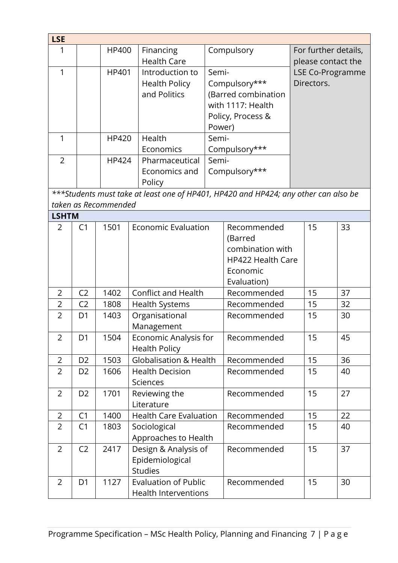| <b>LSE</b>     |                |                      |                                                                                     |        |                          |                         |    |
|----------------|----------------|----------------------|-------------------------------------------------------------------------------------|--------|--------------------------|-------------------------|----|
| 1              |                |                      | Financing<br>HP400                                                                  |        | Compulsory               | For further details,    |    |
|                |                |                      | <b>Health Care</b>                                                                  |        |                          | please contact the      |    |
| 1              |                | HP401                | Introduction to                                                                     | Semi-  |                          | <b>LSE Co-Programme</b> |    |
|                |                |                      | <b>Health Policy</b>                                                                |        | Compulsory***            | Directors.              |    |
|                |                |                      | and Politics                                                                        |        | (Barred combination      |                         |    |
|                |                |                      |                                                                                     |        | with 1117: Health        |                         |    |
|                |                |                      |                                                                                     |        | Policy, Process &        |                         |    |
|                |                |                      |                                                                                     | Power) |                          |                         |    |
| 1              |                | HP420                | Health                                                                              | Semi-  |                          |                         |    |
|                |                |                      | Economics                                                                           |        | Compulsory***            |                         |    |
| $\overline{2}$ |                | HP424                | Pharmaceutical                                                                      | Semi-  |                          |                         |    |
|                |                |                      | Economics and                                                                       |        | Compulsory***            |                         |    |
|                |                |                      | Policy                                                                              |        |                          |                         |    |
|                |                |                      | ***Students must take at least one of HP401, HP420 and HP424; any other can also be |        |                          |                         |    |
|                |                | taken as Recommended |                                                                                     |        |                          |                         |    |
| <b>LSHTM</b>   |                |                      |                                                                                     |        |                          |                         |    |
| 2              | C <sub>1</sub> | 1501                 | <b>Economic Evaluation</b>                                                          |        | Recommended              | 15                      | 33 |
|                |                |                      |                                                                                     |        | (Barred                  |                         |    |
|                |                |                      |                                                                                     |        | combination with         |                         |    |
|                |                |                      |                                                                                     |        | <b>HP422 Health Care</b> |                         |    |
|                |                |                      |                                                                                     |        | Economic                 |                         |    |
|                |                |                      |                                                                                     |        | Evaluation)              |                         |    |
| $\overline{2}$ | C <sub>2</sub> | 1402                 | <b>Conflict and Health</b>                                                          |        | Recommended              | 15                      | 37 |
| $\overline{2}$ | C <sub>2</sub> | 1808                 | Health Systems                                                                      |        | Recommended              | 15                      | 32 |
| $\overline{2}$ | D <sub>1</sub> | 1403                 | Organisational                                                                      |        | Recommended              | 15                      | 30 |
|                |                |                      | Management                                                                          |        |                          |                         |    |
| $\overline{2}$ | D <sub>1</sub> | 1504                 | Economic Analysis for                                                               |        | Recommended              | 15                      | 45 |
|                |                |                      | <b>Health Policy</b>                                                                |        |                          |                         |    |
| $\overline{2}$ | D <sub>2</sub> | 1503                 | <b>Globalisation &amp; Health</b>                                                   |        | Recommended              | 15                      | 36 |
| 2              | D <sub>2</sub> | 1606                 | <b>Health Decision</b>                                                              |        | Recommended              | 15                      | 40 |
|                |                |                      | Sciences                                                                            |        |                          |                         |    |
| $\overline{2}$ | D <sub>2</sub> | 1701                 | Reviewing the                                                                       |        | Recommended              | 15                      | 27 |
|                |                |                      | Literature                                                                          |        |                          |                         |    |
| $\overline{2}$ | C <sub>1</sub> | 1400                 | <b>Health Care Evaluation</b>                                                       |        | Recommended              | 15                      | 22 |
| $\overline{2}$ | C1             | 1803                 | Sociological                                                                        |        | Recommended              | 15                      | 40 |
|                |                |                      | Approaches to Health                                                                |        |                          |                         |    |
| $\overline{2}$ | C <sub>2</sub> | 2417                 | Design & Analysis of                                                                |        | Recommended              | 15                      | 37 |
|                |                |                      | Epidemiological                                                                     |        |                          |                         |    |
|                |                |                      | <b>Studies</b>                                                                      |        |                          |                         |    |
| $\overline{2}$ | D <sub>1</sub> | 1127                 | <b>Evaluation of Public</b>                                                         |        | Recommended              | 15                      | 30 |
|                |                |                      | <b>Health Interventions</b>                                                         |        |                          |                         |    |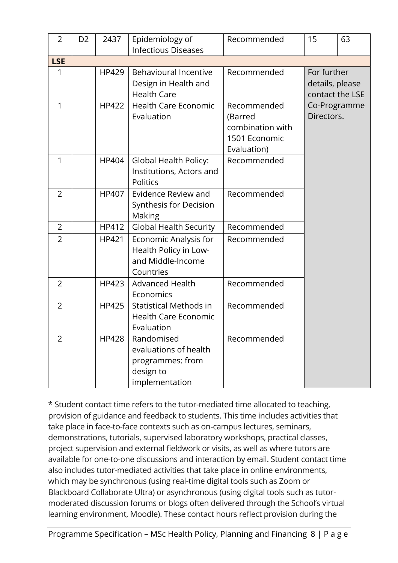| $\overline{2}$ | D <sub>2</sub> | 2437         | Epidemiology of<br><b>Infectious Diseases</b>                                          | Recommended                                                                | 15                                                | 63 |
|----------------|----------------|--------------|----------------------------------------------------------------------------------------|----------------------------------------------------------------------------|---------------------------------------------------|----|
| <b>LSE</b>     |                |              |                                                                                        |                                                                            |                                                   |    |
| 1              |                | HP429        | <b>Behavioural Incentive</b><br>Design in Health and<br><b>Health Care</b>             | Recommended                                                                | For further<br>details, please<br>contact the LSE |    |
| 1              |                | <b>HP422</b> | <b>Health Care Economic</b><br>Evaluation                                              | Recommended<br>(Barred<br>combination with<br>1501 Economic<br>Evaluation) | Co-Programme<br>Directors.                        |    |
| 1              |                | HP404        | Global Health Policy:<br>Institutions, Actors and<br>Politics                          | Recommended                                                                |                                                   |    |
| $\overline{2}$ |                | HP407        | Evidence Review and<br>Synthesis for Decision<br>Making                                | Recommended                                                                |                                                   |    |
| $\overline{2}$ |                | HP412        | <b>Global Health Security</b>                                                          | Recommended                                                                |                                                   |    |
| $\overline{2}$ |                | HP421        | Economic Analysis for<br>Health Policy in Low-<br>and Middle-Income<br>Countries       | Recommended                                                                |                                                   |    |
| $\overline{2}$ |                | HP423        | <b>Advanced Health</b><br>Economics                                                    | Recommended                                                                |                                                   |    |
| $\overline{2}$ |                | HP425        | <b>Statistical Methods in</b><br><b>Health Care Economic</b><br>Evaluation             | Recommended                                                                |                                                   |    |
| $\overline{2}$ |                | <b>HP428</b> | Randomised<br>evaluations of health<br>programmes: from<br>design to<br>implementation | Recommended                                                                |                                                   |    |

\* Student contact time refers to the tutor-mediated time allocated to teaching, provision of guidance and feedback to students. This time includes activities that take place in face-to-face contexts such as on-campus lectures, seminars, demonstrations, tutorials, supervised laboratory workshops, practical classes, project supervision and external fieldwork or visits, as well as where tutors are available for one-to-one discussions and interaction by email. Student contact time also includes tutor-mediated activities that take place in online environments, which may be synchronous (using real-time digital tools such as Zoom or Blackboard Collaborate Ultra) or asynchronous (using digital tools such as tutormoderated discussion forums or blogs often delivered through the School's virtual learning environment, Moodle). These contact hours reflect provision during the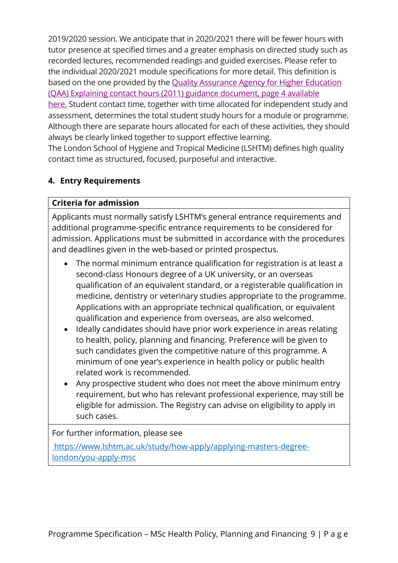2019/2020 session. We anticipate that in 2020/2021 there will be fewer hours with tutor presence at specified times and a greater emphasis on directed study such as recorded lectures, recommended readings and guided exercises. Please refer to the individual 2020/2021 module specifications for more detail. This definition is based on the one provided by the Quality Assurance Agency for Higher Education (QAA) Explaining contact hours (2011) guidance document, page 4 available

here. Student contact time, together with time allocated for independent study and assessment, determines the total student study hours for a module or programme. Although there are separate hours allocated for each of these activities, they should always be clearly linked together to support effective learning.

The London School of Hygiene and Tropical Medicine (LSHTM) defines high quality contact time as structured, focused, purposeful and interactive.

# **4. Entry Requirements**

## **Criteria for admission**

Applicants must normally satisfy LSHTM's general entrance requirements and additional programme-specific entrance requirements to be considered for admission. Applications must be submitted in accordance with the procedures and deadlines given in the web-based or printed prospectus.

- The normal minimum entrance qualification for registration is at least a second-class Honours degree of a UK university, or an overseas qualification of an equivalent standard, or a registerable qualification in medicine, dentistry or veterinary studies appropriate to the programme. Applications with an appropriate technical qualification, or equivalent qualification and experience from overseas, are also welcomed.
- Ideally candidates should have prior work experience in areas relating to health, policy, planning and financing. Preference will be given to such candidates given the competitive nature of this programme. A minimum of one year's experience in health policy or public health related work is recommended.
- Any prospective student who does not meet the above minimum entry requirement, but who has relevant professional experience, may still be eligible for admission. The Registry can advise on eligibility to apply in such cases.

#### For further information, please see

https://www.lshtm.ac.uk/study/how-apply/applying-masters-degreelondon/you-apply-msc